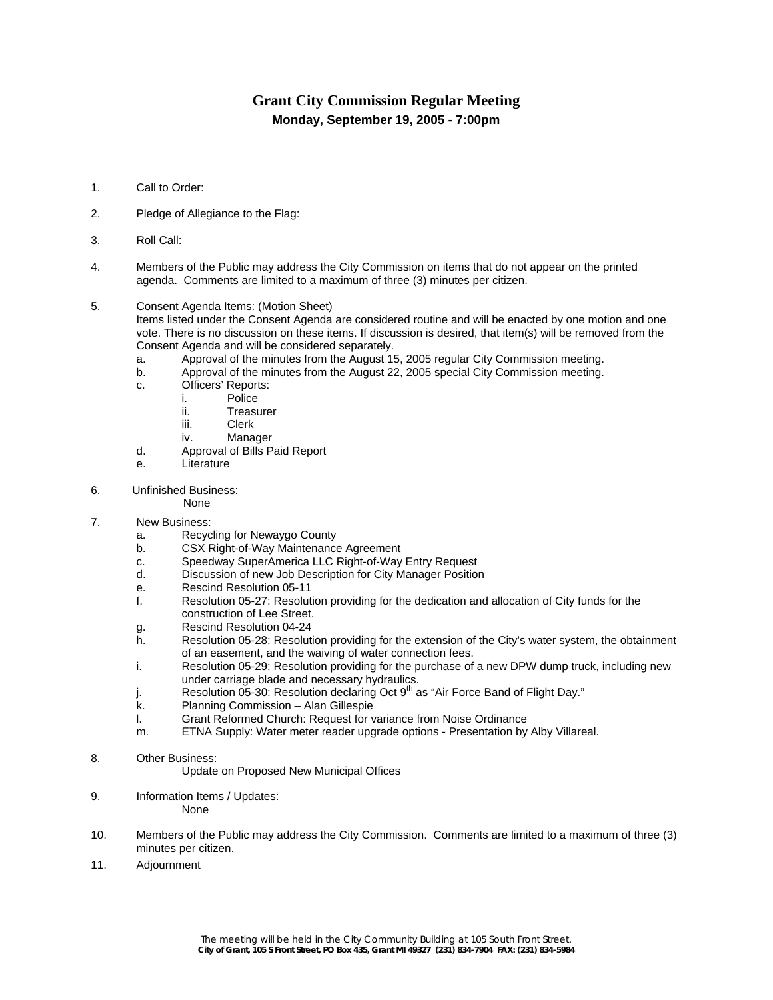## **Grant City Commission Regular Meeting Monday, September 19, 2005 - 7:00pm**

- 1. Call to Order:
- 2. Pledge of Allegiance to the Flag:
- 3. Roll Call:
- 4. Members of the Public may address the City Commission on items that do not appear on the printed agenda. Comments are limited to a maximum of three (3) minutes per citizen.
- 5. Consent Agenda Items: (Motion Sheet)

Items listed under the Consent Agenda are considered routine and will be enacted by one motion and one vote. There is no discussion on these items. If discussion is desired, that item(s) will be removed from the Consent Agenda and will be considered separately.

- a. Approval of the minutes from the August 15, 2005 regular City Commission meeting.
- b. Approval of the minutes from the August 22, 2005 special City Commission meeting.
- c. Officers' Reports:
	- i. Police
	- ii. Treasurer
		- iii. Clerk
	- iv. Manager
- d. Approval of Bills Paid Report
- e. Literature
- 6. Unfinished Business:
	- None
- 7. New Business:
	- a. Recycling for Newaygo County
	- b. CSX Right-of-Way Maintenance Agreement
	- c. Speedway SuperAmerica LLC Right-of-Way Entry Request
	- d. Discussion of new Job Description for City Manager Position
	- e. Rescind Resolution 05-11
	- f. Resolution 05-27: Resolution providing for the dedication and allocation of City funds for the construction of Lee Street.
	- g. Rescind Resolution 04-24
	- h. Resolution 05-28: Resolution providing for the extension of the City's water system, the obtainment of an easement, and the waiving of water connection fees.
	- i. Resolution 05-29: Resolution providing for the purchase of a new DPW dump truck, including new under carriage blade and necessary hydraulics.
	- Resolution 05-30: Resolution declaring Oct  $9<sup>th</sup>$  as "Air Force Band of Flight Day."
	- k. Planning Commission Alan Gillespie
	- l. Grant Reformed Church: Request for variance from Noise Ordinance
	- m. ETNA Supply: Water meter reader upgrade options Presentation by Alby Villareal.
- 8. Other Business:
	- Update on Proposed New Municipal Offices
- 9. Information Items / Updates: None
- 10. Members of the Public may address the City Commission. Comments are limited to a maximum of three (3) minutes per citizen.
- 11. Adjournment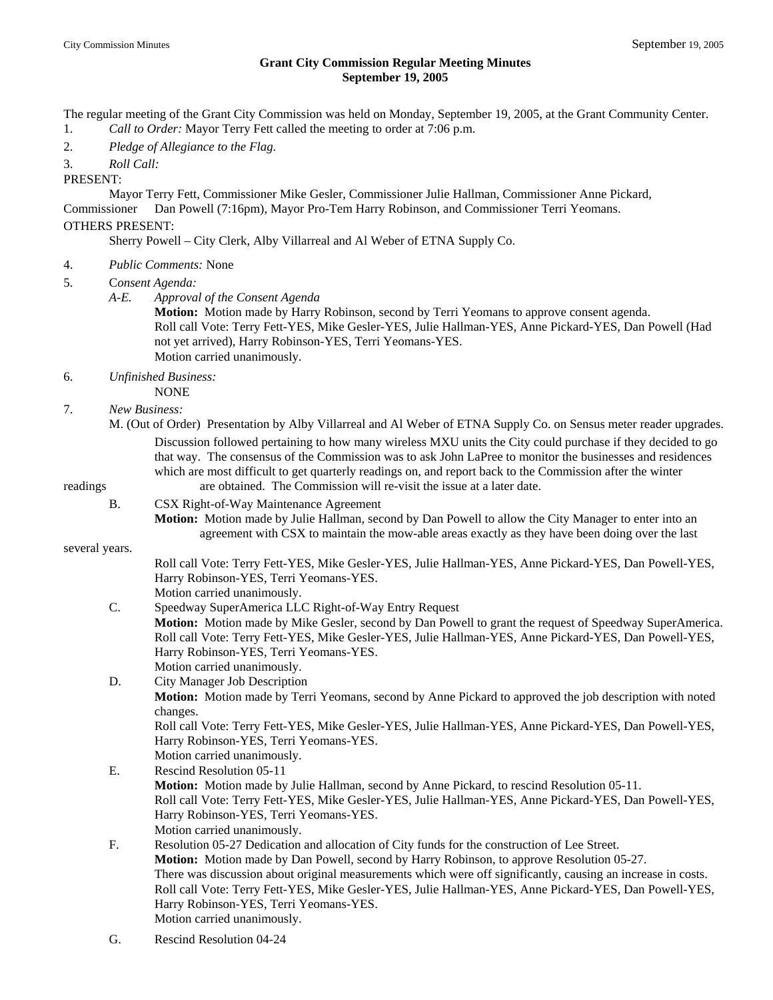## **Grant City Commission Regular Meeting Minutes September 19, 2005**

The regular meeting of the Grant City Commission was held on Monday, September 19, 2005, at the Grant Community Center.

- 1. *Call to Order:* Mayor Terry Fett called the meeting to order at 7:06 p.m.
- 2. *Pledge of Allegiance to the Flag.*

3. *Roll Call:*

PRESENT:

 Mayor Terry Fett, Commissioner Mike Gesler, Commissioner Julie Hallman, Commissioner Anne Pickard, Commissioner Dan Powell (7:16pm), Mayor Pro-Tem Harry Robinson, and Commissioner Terri Yeomans.

## OTHERS PRESENT:

Sherry Powell – City Clerk, Alby Villarreal and Al Weber of ETNA Supply Co.

- 4. *Public Comments:* None
- 5. C*onsent Agenda:*
	- *A-E. Approval of the Consent Agenda* 
		- **Motion:** Motion made by Harry Robinson, second by Terri Yeomans to approve consent agenda. Roll call Vote: Terry Fett-YES, Mike Gesler-YES, Julie Hallman-YES, Anne Pickard-YES, Dan Powell (Had not yet arrived), Harry Robinson-YES, Terri Yeomans-YES. Motion carried unanimously.
- 6. *Unfinished Business:*
	- NONE
- 7. *New Business:*
- M. (Out of Order) Presentation by Alby Villarreal and Al Weber of ETNA Supply Co. on Sensus meter reader upgrades. Discussion followed pertaining to how many wireless MXU units the City could purchase if they decided to go that way. The consensus of the Commission was to ask John LaPree to monitor the businesses and residences which are most difficult to get quarterly readings on, and report back to the Commission after the winter readings are obtained. The Commission will re-visit the issue at a later date.

- B. CSX Right-of-Way Maintenance Agreement
	- **Motion:** Motion made by Julie Hallman, second by Dan Powell to allow the City Manager to enter into an agreement with CSX to maintain the mow-able areas exactly as they have been doing over the last

several years.

 Roll call Vote: Terry Fett-YES, Mike Gesler-YES, Julie Hallman-YES, Anne Pickard-YES, Dan Powell-YES, Harry Robinson-YES, Terri Yeomans-YES.

- Motion carried unanimously.
- C. Speedway SuperAmerica LLC Right-of-Way Entry Request **Motion:** Motion made by Mike Gesler, second by Dan Powell to grant the request of Speedway SuperAmerica. Roll call Vote: Terry Fett-YES, Mike Gesler-YES, Julie Hallman-YES, Anne Pickard-YES, Dan Powell-YES, Harry Robinson-YES, Terri Yeomans-YES.
- Motion carried unanimously. D. City Manager Job Description **Motion:** Motion made by Terri Yeomans, second by Anne Pickard to approved the job description with noted changes. Roll call Vote: Terry Fett-YES, Mike Gesler-YES, Julie Hallman-YES, Anne Pickard-YES, Dan Powell-YES, Harry Robinson-YES, Terri Yeomans-YES. Motion carried unanimously.
- E. Rescind Resolution 05-11 **Motion:** Motion made by Julie Hallman, second by Anne Pickard, to rescind Resolution 05-11. Roll call Vote: Terry Fett-YES, Mike Gesler-YES, Julie Hallman-YES, Anne Pickard-YES, Dan Powell-YES, Harry Robinson-YES, Terri Yeomans-YES. Motion carried unanimously.
- F. Resolution 05-27 Dedication and allocation of City funds for the construction of Lee Street. **Motion:** Motion made by Dan Powell, second by Harry Robinson, to approve Resolution 05-27. There was discussion about original measurements which were off significantly, causing an increase in costs. Roll call Vote: Terry Fett-YES, Mike Gesler-YES, Julie Hallman-YES, Anne Pickard-YES, Dan Powell-YES, Harry Robinson-YES, Terri Yeomans-YES. Motion carried unanimously.
- G. Rescind Resolution 04-24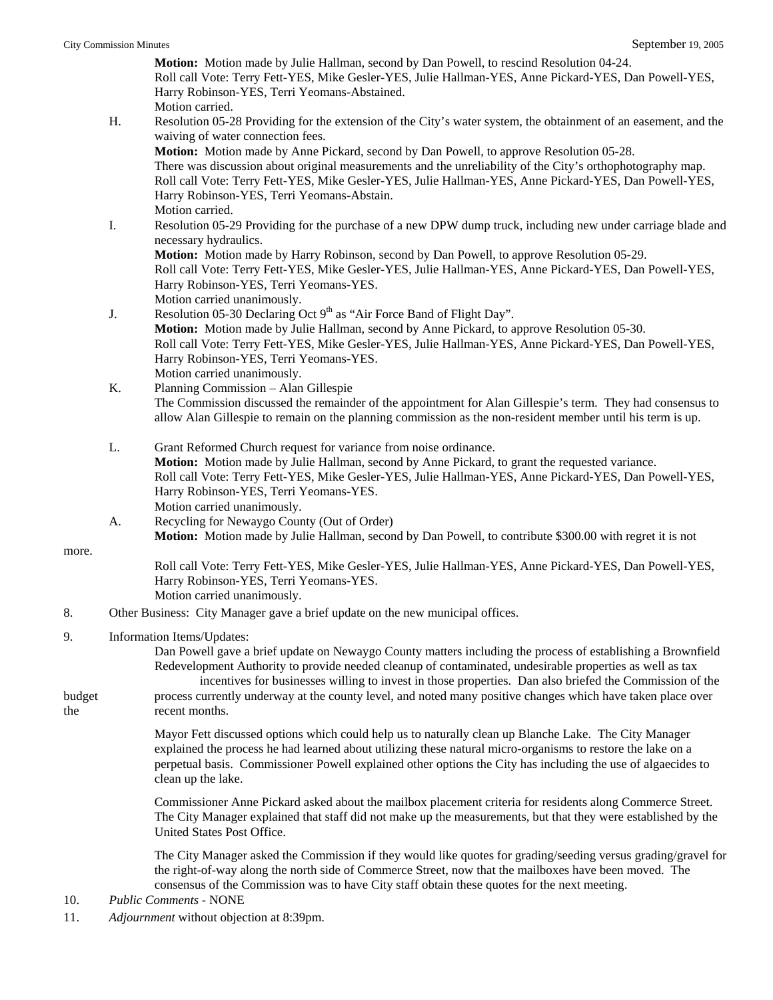| <b>City Commission Minutes</b> |    | September 19, 2005                                                                                                                                                                                                                                                                                                                                                              |
|--------------------------------|----|---------------------------------------------------------------------------------------------------------------------------------------------------------------------------------------------------------------------------------------------------------------------------------------------------------------------------------------------------------------------------------|
|                                |    | Motion: Motion made by Julie Hallman, second by Dan Powell, to rescind Resolution 04-24.<br>Roll call Vote: Terry Fett-YES, Mike Gesler-YES, Julie Hallman-YES, Anne Pickard-YES, Dan Powell-YES,<br>Harry Robinson-YES, Terri Yeomans-Abstained.<br>Motion carried.                                                                                                            |
|                                | Η. | Resolution 05-28 Providing for the extension of the City's water system, the obtainment of an easement, and the<br>waiving of water connection fees.                                                                                                                                                                                                                            |
|                                |    | Motion: Motion made by Anne Pickard, second by Dan Powell, to approve Resolution 05-28.<br>There was discussion about original measurements and the unreliability of the City's orthophotography map.<br>Roll call Vote: Terry Fett-YES, Mike Gesler-YES, Julie Hallman-YES, Anne Pickard-YES, Dan Powell-YES,<br>Harry Robinson-YES, Terri Yeomans-Abstain.<br>Motion carried. |
|                                | I. | Resolution 05-29 Providing for the purchase of a new DPW dump truck, including new under carriage blade and<br>necessary hydraulics.                                                                                                                                                                                                                                            |
|                                |    | Motion: Motion made by Harry Robinson, second by Dan Powell, to approve Resolution 05-29.<br>Roll call Vote: Terry Fett-YES, Mike Gesler-YES, Julie Hallman-YES, Anne Pickard-YES, Dan Powell-YES,<br>Harry Robinson-YES, Terri Yeomans-YES.<br>Motion carried unanimously.                                                                                                     |
|                                | J. | Resolution 05-30 Declaring Oct 9 <sup>th</sup> as "Air Force Band of Flight Day".<br>Motion: Motion made by Julie Hallman, second by Anne Pickard, to approve Resolution 05-30.<br>Roll call Vote: Terry Fett-YES, Mike Gesler-YES, Julie Hallman-YES, Anne Pickard-YES, Dan Powell-YES,<br>Harry Robinson-YES, Terri Yeomans-YES.<br>Motion carried unanimously.               |
|                                | K. | Planning Commission - Alan Gillespie                                                                                                                                                                                                                                                                                                                                            |
|                                |    | The Commission discussed the remainder of the appointment for Alan Gillespie's term. They had consensus to<br>allow Alan Gillespie to remain on the planning commission as the non-resident member until his term is up.                                                                                                                                                        |
|                                | L. | Grant Reformed Church request for variance from noise ordinance.<br>Motion: Motion made by Julie Hallman, second by Anne Pickard, to grant the requested variance.<br>Roll call Vote: Terry Fett-YES, Mike Gesler-YES, Julie Hallman-YES, Anne Pickard-YES, Dan Powell-YES,<br>Harry Robinson-YES, Terri Yeomans-YES.<br>Motion carried unanimously.                            |
|                                | А. | Recycling for Newaygo County (Out of Order)<br>Motion: Motion made by Julie Hallman, second by Dan Powell, to contribute \$300.00 with regret it is not                                                                                                                                                                                                                         |
| more.                          |    |                                                                                                                                                                                                                                                                                                                                                                                 |
|                                |    | Roll call Vote: Terry Fett-YES, Mike Gesler-YES, Julie Hallman-YES, Anne Pickard-YES, Dan Powell-YES,<br>Harry Robinson-YES, Terri Yeomans-YES.<br>Motion carried unanimously.                                                                                                                                                                                                  |
| 8.                             |    | Other Business: City Manager gave a brief update on the new municipal offices.                                                                                                                                                                                                                                                                                                  |
| 9.                             |    | Information Items/Updates:<br>Dan Powell gave a brief update on Newaygo County matters including the process of establishing a Brownfield<br>Redevelopment Authority to provide needed cleanup of contaminated, undesirable properties as well as tax                                                                                                                           |
| budget<br>the                  |    | incentives for businesses willing to invest in those properties. Dan also briefed the Commission of the<br>process currently underway at the county level, and noted many positive changes which have taken place over<br>recent months.                                                                                                                                        |
|                                |    | Mayor Fett discussed options which could help us to naturally clean up Blanche Lake. The City Manager<br>explained the process he had learned about utilizing these natural micro-organisms to restore the lake on a<br>perpetual basis. Commissioner Powell explained other options the City has including the use of algaecides to<br>clean up the lake.                      |
|                                |    | Commissioner Anne Pickard asked about the mailbox placement criteria for residents along Commerce Street.<br>The City Manager explained that staff did not make up the measurements, but that they were established by the<br>United States Post Office.                                                                                                                        |
|                                |    | The City Manager asked the Commission if they would like quotes for grading/seeding versus grading/gravel for<br>the right-of-way along the north side of Commerce Street, now that the mailboxes have been moved. The<br>consensus of the Commission was to have City staff obtain these quotes for the next meeting.                                                          |

10. *Public Comments* - NONE

11. *Adjournment* without objection at 8:39pm.